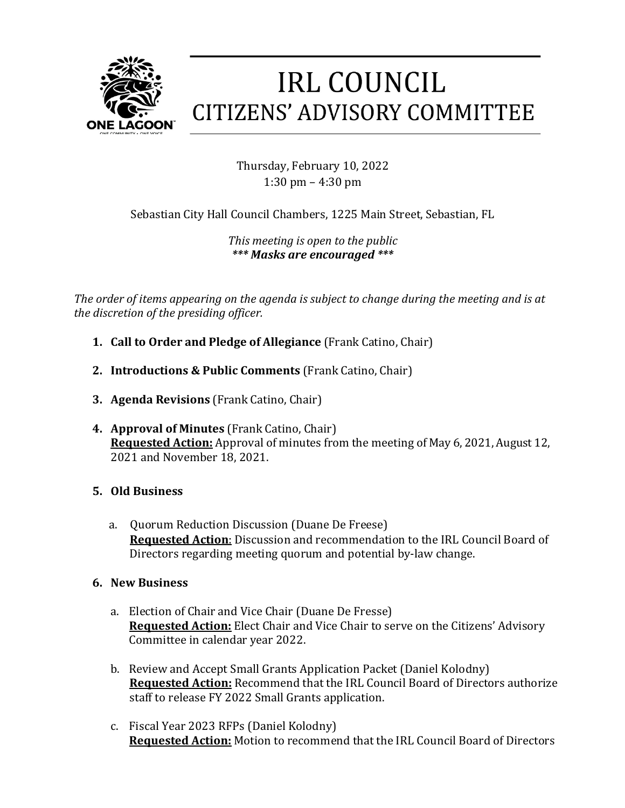

## **IRL COUNCIL CITIZENS' ADVISORY COMMITTEE**

Thursday, February 10, 2022 1:30 pm  $-$  4:30 pm

Sebastian City Hall Council Chambers, 1225 Main Street, Sebastian, FL

*This meeting is open to the public \*\*\* Masks are encouraged \*\*\**

The order of items appearing on the agenda is subject to change during the meeting and is at *the discretion of the presiding officer.*

- **1. Call to Order and Pledge of Allegiance** (Frank Catino, Chair)
- **2. Introductions & Public Comments** (Frank Catino, Chair)
- **3. Agenda Revisions** (Frank Catino, Chair)
- **4. Approval of Minutes** (Frank Catino, Chair) **Requested Action:** Approval of minutes from the meeting of May 6, 2021, August 12, 2021 and November 18, 2021.
- **5. Old Business**
	- a. Quorum Reduction Discussion (Duane De Freese) **Requested Action:** Discussion and recommendation to the IRL Council Board of Directors regarding meeting quorum and potential by-law change.
- **6. New Business**
	- a. Election of Chair and Vice Chair (Duane De Fresse) **Requested Action:** Elect Chair and Vice Chair to serve on the Citizens' Advisory Committee in calendar year 2022.
	- b. Review and Accept Small Grants Application Packet (Daniel Kolodny) **Requested Action:** Recommend that the IRL Council Board of Directors authorize staff to release FY 2022 Small Grants application.
	- c. Fiscal Year 2023 RFPs (Daniel Kolodny) **Requested Action:** Motion to recommend that the IRL Council Board of Directors